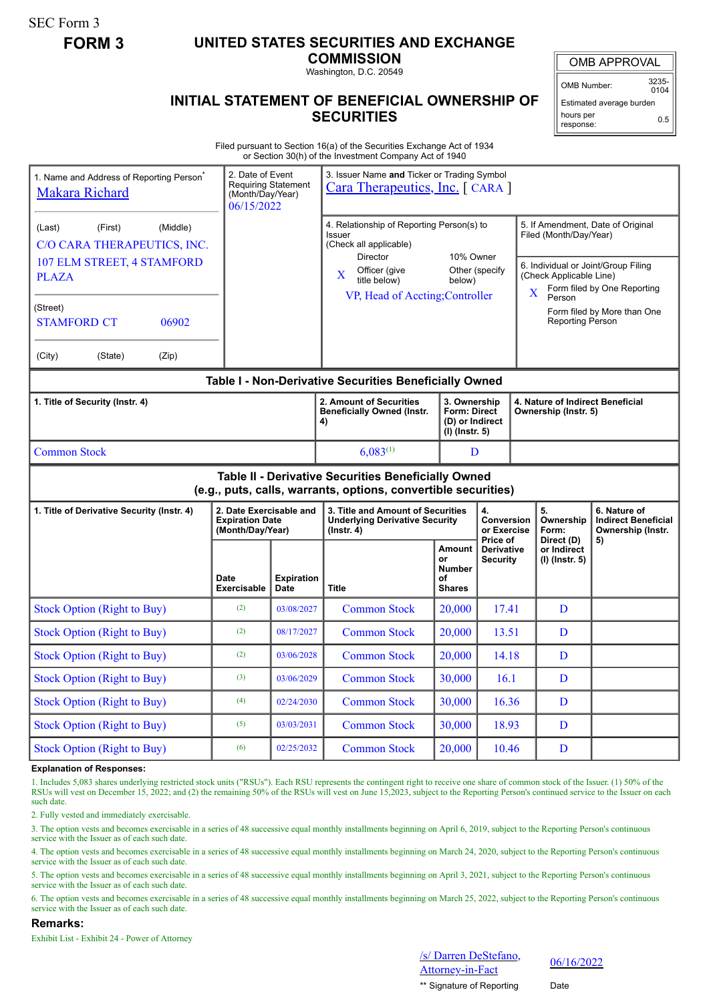SEC Form 3

# **FORM 3 UNITED STATES SECURITIES AND EXCHANGE**

**COMMISSION** Washington, D.C. 20549

OMB APPROVAL

OMB Number: 3235-  $0104$ 

Estimated average burden hours per 0.5

response:

## **INITIAL STATEMENT OF BENEFICIAL OWNERSHIP OF SECURITIES**

Filed pursuant to Section 16(a) of the Securities Exchange Act of 1934 or Section 30(h) of the Investment Company Act of 1940

| 1. Name and Address of Reporting Person <sup>*</sup><br>Makara Richard | 2. Date of Event<br>(Month/Day/Year)<br>06/15/2022                    | <b>Requiring Statement</b>       | 3. Issuer Name and Ticker or Trading Symbol<br>Cara Therapeutics, Inc. [ CARA ]                                       |                                                                            |                                                          |                                                                                                                                                                             |                                             |                                                                 |  |
|------------------------------------------------------------------------|-----------------------------------------------------------------------|----------------------------------|-----------------------------------------------------------------------------------------------------------------------|----------------------------------------------------------------------------|----------------------------------------------------------|-----------------------------------------------------------------------------------------------------------------------------------------------------------------------------|---------------------------------------------|-----------------------------------------------------------------|--|
| (First)<br>(Middle)<br>(Last)<br>C/O CARA THERAPEUTICS, INC.           |                                                                       |                                  | 4. Relationship of Reporting Person(s) to<br>Issuer<br>(Check all applicable)<br>Director                             | 10% Owner<br>Other (specify<br>below)                                      |                                                          | 5. If Amendment, Date of Original<br>Filed (Month/Day/Year)<br>6. Individual or Joint/Group Filing<br>(Check Applicable Line)<br>Form filed by One Reporting<br>$\mathbf X$ |                                             |                                                                 |  |
| 107 ELM STREET, 4 STAMFORD<br><b>PLAZA</b>                             |                                                                       |                                  | Officer (give<br>X<br>title below)                                                                                    |                                                                            |                                                          |                                                                                                                                                                             |                                             |                                                                 |  |
| (Street)<br>06902<br><b>STAMFORD CT</b>                                |                                                                       |                                  | VP, Head of Accting; Controller                                                                                       |                                                                            |                                                          | Person<br>Form filed by More than One<br><b>Reporting Person</b>                                                                                                            |                                             |                                                                 |  |
| (City)<br>(State)<br>(Zip)                                             |                                                                       |                                  |                                                                                                                       |                                                                            |                                                          |                                                                                                                                                                             |                                             |                                                                 |  |
|                                                                        |                                                                       |                                  | Table I - Non-Derivative Securities Beneficially Owned                                                                |                                                                            |                                                          |                                                                                                                                                                             |                                             |                                                                 |  |
| 1. Title of Security (Instr. 4)                                        |                                                                       |                                  | 2. Amount of Securities<br><b>Beneficially Owned (Instr.</b><br>4)                                                    | 3. Ownership<br><b>Form: Direct</b><br>(D) or Indirect<br>$(I)$ (lnstr. 5) | 4. Nature of Indirect Beneficial<br>Ownership (Instr. 5) |                                                                                                                                                                             |                                             |                                                                 |  |
| <b>Common Stock</b>                                                    |                                                                       |                                  | $6,083^{(1)}$                                                                                                         | D                                                                          |                                                          |                                                                                                                                                                             |                                             |                                                                 |  |
|                                                                        |                                                                       |                                  | Table II - Derivative Securities Beneficially Owned<br>(e.g., puts, calls, warrants, options, convertible securities) |                                                                            |                                                          |                                                                                                                                                                             |                                             |                                                                 |  |
| 1. Title of Derivative Security (Instr. 4)                             | 2. Date Exercisable and<br><b>Expiration Date</b><br>(Month/Day/Year) |                                  | 3. Title and Amount of Securities<br><b>Underlying Derivative Security</b><br>$($ lnstr. 4 $)$                        |                                                                            | 4.<br><b>Conversion</b><br>or Exercise                   | 5.                                                                                                                                                                          | Ownership<br>Form:                          | 6. Nature of<br><b>Indirect Beneficial</b><br>Ownership (Instr. |  |
|                                                                        | Date<br><b>Exercisable</b>                                            | <b>Expiration</b><br><b>Date</b> | <b>Title</b>                                                                                                          | <b>Amount</b><br>or<br><b>Number</b><br>οf<br><b>Shares</b>                | Price of<br><b>Derivative</b><br><b>Security</b>         |                                                                                                                                                                             | Direct (D)<br>or Indirect<br>(I) (Instr. 5) | 5)                                                              |  |
| <b>Stock Option (Right to Buy)</b>                                     | (2)                                                                   | 03/08/2027                       | <b>Common Stock</b>                                                                                                   | 20,000                                                                     | 17.41                                                    |                                                                                                                                                                             | D                                           |                                                                 |  |
| <b>Stock Option (Right to Buy)</b>                                     | (2)                                                                   | 08/17/2027                       | <b>Common Stock</b>                                                                                                   | 20,000                                                                     | 13.51                                                    |                                                                                                                                                                             | D                                           |                                                                 |  |
| <b>Stock Option (Right to Buy)</b>                                     | (2)                                                                   | 03/06/2028                       | <b>Common Stock</b>                                                                                                   | 20,000                                                                     | 14.18                                                    |                                                                                                                                                                             | D                                           |                                                                 |  |
| <b>Stock Option (Right to Buy)</b>                                     | (3)                                                                   | 03/06/2029                       | <b>Common Stock</b>                                                                                                   | 30,000                                                                     | 16.1                                                     |                                                                                                                                                                             | D                                           |                                                                 |  |
| <b>Stock Option (Right to Buy)</b>                                     | (4)                                                                   | 02/24/2030                       | <b>Common Stock</b>                                                                                                   | 30,000                                                                     | 16.36                                                    |                                                                                                                                                                             | D                                           |                                                                 |  |
| <b>Stock Option (Right to Buy)</b>                                     | (5)                                                                   | 03/03/2031                       | <b>Common Stock</b>                                                                                                   | 30,000                                                                     | 18.93                                                    |                                                                                                                                                                             | D                                           |                                                                 |  |
|                                                                        |                                                                       |                                  |                                                                                                                       |                                                                            |                                                          |                                                                                                                                                                             |                                             |                                                                 |  |

#### **Explanation of Responses:**

1. Includes 5,083 shares underlying restricted stock units ("RSUs"). Each RSU represents the contingent right to receive one share of common stock of the Issuer. (1) 50% of the RSUs will vest on December 15, 2022; and (2) the remaining 50% of the RSUs will vest on June 15, 2023, subject to the Reporting Person's continued service to the Issuer on each such date.

2. Fully vested and immediately exercisable.

3. The option vests and becomes exercisable in a series of 48 successive equal monthly installments beginning on April 6, 2019, subject to the Reporting Person's continuous service with the Issuer as of each such date.

4. The option vests and becomes exercisable in a series of 48 successive equal monthly installments beginning on March 24, 2020, subject to the Reporting Person's continuous service with the Issuer as of each such date.

5. The option vests and becomes exercisable in a series of 48 successive equal monthly installments beginning on April 3, 2021, subject to the Reporting Person's continuous service with the Issuer as of each such date.

6. The option vests and becomes exercisable in a series of 48 successive equal monthly installments beginning on March 25, 2022, subject to the Reporting Person's continuous service with the Issuer as of each such date.

### **Remarks:**

Exhibit List - Exhibit 24 - Power of Attorney

/s/ Darren DeStefano,  $\frac{6}{4}$  Matten Desterano,  $\frac{06}{16/2022}$ 

\*\* Signature of Reporting Date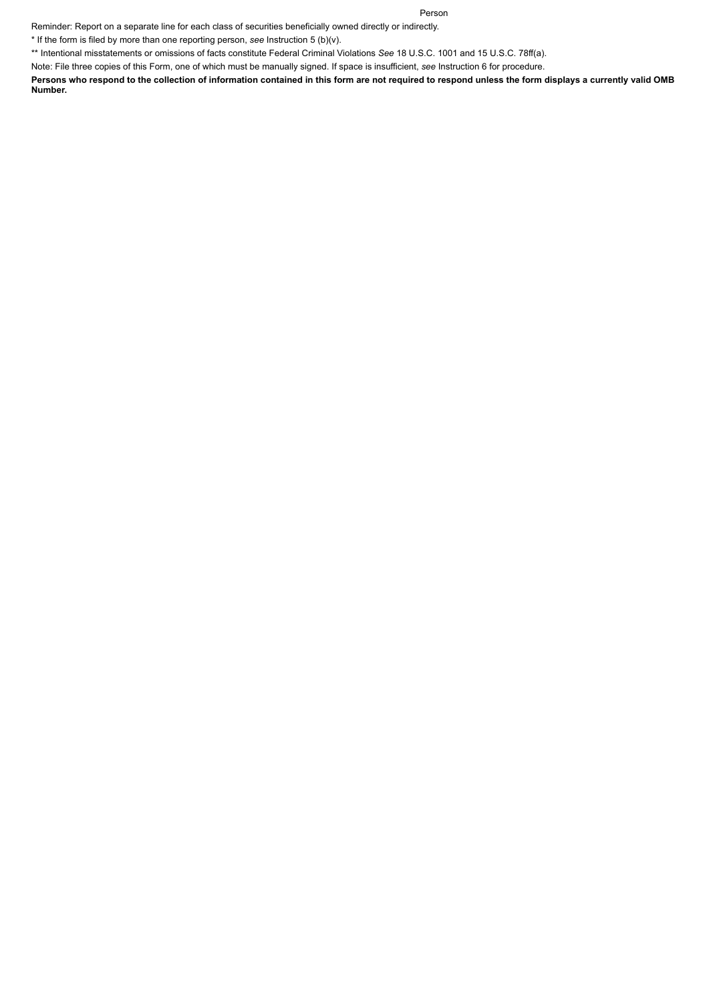#### Person

Reminder: Report on a separate line for each class of securities beneficially owned directly or indirectly.

\* If the form is filed by more than one reporting person, *see* Instruction 5 (b)(v).

\*\* Intentional misstatements or omissions of facts constitute Federal Criminal Violations *See* 18 U.S.C. 1001 and 15 U.S.C. 78ff(a).

Note: File three copies of this Form, one of which must be manually signed. If space is insufficient, *see* Instruction 6 for procedure.

**Persons who respond to the collection of information contained in this form are not required to respond unless the form displays a currently valid OMB Number.**